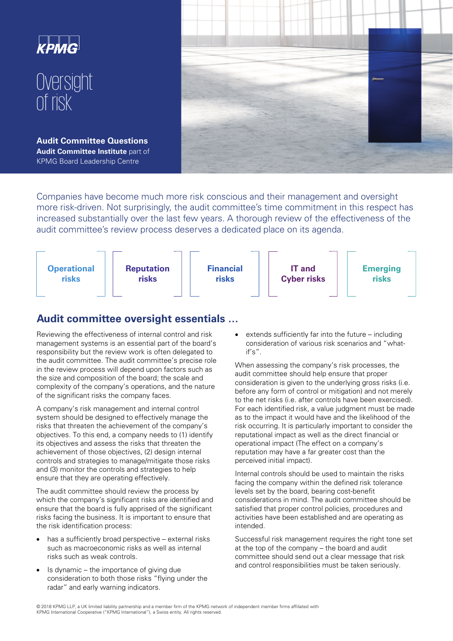

Companies have become much more risk conscious and their management and oversight more risk-driven. Not surprisingly, the audit committee's time commitment in this respect has increased substantially over the last few years. A thorough review of the effectiveness of the audit committee's review process deserves a dedicated place on its agenda.



## **Audit committee oversight essentials …**

Reviewing the effectiveness of internal control and risk management systems is an essential part of the board's responsibility but the review work is often delegated to the audit committee. The audit committee's precise role in the review process will depend upon factors such as the size and composition of the board; the scale and complexity of the company's operations, and the nature of the significant risks the company faces.

A company's risk management and internal control system should be designed to effectively manage the risks that threaten the achievement of the company's objectives. To this end, a company needs to (1) identify its objectives and assess the risks that threaten the achievement of those objectives, (2) design internal controls and strategies to manage/mitigate those risks and (3) monitor the controls and strategies to help ensure that they are operating effectively.

The audit committee should review the process by which the company's significant risks are identified and ensure that the board is fully apprised of the significant risks facing the business. It is important to ensure that the risk identification process:

- has a sufficiently broad perspective  $-$  external risks such as macroeconomic risks as well as internal risks such as weak controls.
- Is dynamic  $-$  the importance of giving due consideration to both those risks "flying under the radar" and early warning indicators.

extends sufficiently far into the future  $-$  including consideration of various risk scenarios and "whatif's".

When assessing the company's risk processes, the audit committee should help ensure that proper consideration is given to the underlying gross risks (i.e. before any form of control or mitigation) and not merely to the net risks (i.e. after controls have been exercised). For each identified risk, a value judgment must be made as to the impact it would have and the likelihood of the risk occurring. It is particularly important to consider the reputational impact as well as the direct financial or operational impact (The effect on a company's reputation may have a far greater cost than the perceived initial impact).

Internal controls should be used to maintain the risks facing the company within the defined risk tolerance levels set by the board, bearing cost-benefit considerations in mind. The audit committee should be satisfied that proper control policies, procedures and activities have been established and are operating as intended.

Successful risk management requires the right tone set at the top of the company – the board and audit committee should send out a clear message that risk and control responsibilities must be taken seriously.

 © 2018 KPMG LLP, a UK limited liability partnership and a member firm of the KPMG network of independent member firms affiliated with KPMG International Cooperative ("KPMG International"), a Swiss entity. All rights reserved.